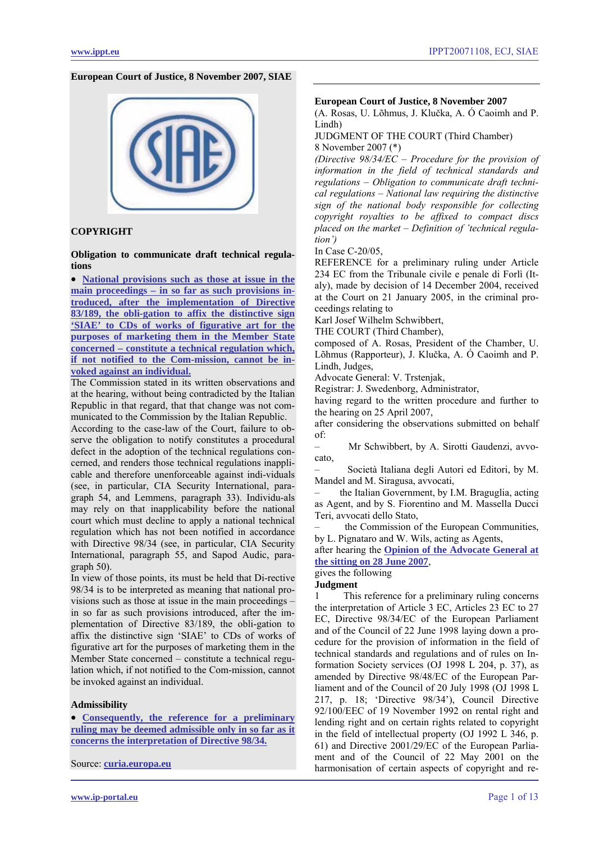#### **European Court of Justice, 8 November 2007, SIAE**



# **COPYRIGHT**

**Obligation to communicate draft technical regulations** 

• **[National provisions such as those at issue in the](#page-4-0)  [main proceedings – in so far as such provisions in](#page-4-0)[troduced, after the implementation of Directive](#page-4-0)  [83/189, the obli-gation to affix the distinctive sign](#page-4-0)  ['SIAE' to CDs of works of figurative art for the](#page-4-0)  [purposes of marketing them in the Member State](#page-4-0)  [concerned – constitute a technical regulation which,](#page-4-0)  [if not notified to the Com-mission, cannot be in](#page-4-0)[voked against an individual.](#page-4-0)**

The Commission stated in its written observations and at the hearing, without being contradicted by the Italian Republic in that regard, that that change was not communicated to the Commission by the Italian Republic.

According to the case-law of the Court, failure to observe the obligation to notify constitutes a procedural defect in the adoption of the technical regulations concerned, and renders those technical regulations inapplicable and therefore unenforceable against indi-viduals (see, in particular, CIA Security International, paragraph 54, and Lemmens, paragraph 33). Individu-als may rely on that inapplicability before the national court which must decline to apply a national technical regulation which has not been notified in accordance with Directive 98/34 (see, in particular, CIA Security International, paragraph 55, and Sapod Audic, paragraph 50).

In view of those points, its must be held that Di-rective 98/34 is to be interpreted as meaning that national provisions such as those at issue in the main proceedings – in so far as such provisions introduced, after the implementation of Directive 83/189, the obli-gation to affix the distinctive sign 'SIAE' to CDs of works of figurative art for the purposes of marketing them in the Member State concerned – constitute a technical regulation which, if not notified to the Com-mission, cannot be invoked against an individual.

#### **Admissibility**

• **[Consequently, the reference for a preliminary](#page-3-0)  [ruling may be deemed admissible only in so far as it](#page-3-0)  [concerns the interpretation of Directive 98/34.](#page-3-0)**

Source: **[curia.europa.eu](http://curia.europa.eu/jurisp/cgi-bin/gettext.pl?lang=en&num=79928891C19050020&doc=T&ouvert=T&seance=ARRET)**

#### **European Court of Justice, 8 November 2007**

(A. Rosas, U. Lõhmus, J. Klučka, A. Ó Caoimh and P. Lindh)

JUDGMENT OF THE COURT (Third Chamber) 8 November 2007 (\*)

*(Directive 98/34/EC – Procedure for the provision of information in the field of technical standards and regulations – Obligation to communicate draft technical regulations – National law requiring the distinctive sign of the national body responsible for collecting copyright royalties to be affixed to compact discs placed on the market – Definition of 'technical regulation')* 

In Case C-20/05,

REFERENCE for a preliminary ruling under Article 234 EC from the Tribunale civile e penale di Forlì (Italy), made by decision of 14 December 2004, received at the Court on 21 January 2005, in the criminal proceedings relating to

Karl Josef Wilhelm Schwibbert,

THE COURT (Third Chamber),

composed of A. Rosas, President of the Chamber, U. Lõhmus (Rapporteur), J. Klučka, A. Ó Caoimh and P. Lindh, Judges,

Advocate General: V. Trstenjak,

Registrar: J. Swedenborg, Administrator,

having regard to the written procedure and further to the hearing on 25 April 2007,

after considering the observations submitted on behalf of:

– Mr Schwibbert, by A. Sirotti Gaudenzi, avvocato,

– Società Italiana degli Autori ed Editori, by M. Mandel and M. Siragusa, avvocati,

– the Italian Government, by I.M. Braguglia, acting as Agent, and by S. Fiorentino and M. Massella Ducci Teri, avvocati dello Stato,

– the Commission of the European Communities, by L. Pignataro and W. Wils, acting as Agents,

after hearing the **[Opinion of the Advocate General at](#page-5-0)  [the sitting on 28 June 2007](#page-5-0)**,

# gives the following

### **Judgment**

1 This reference for a preliminary ruling concerns the interpretation of Article 3 EC, Articles 23 EC to 27 EC, Directive 98/34/EC of the European Parliament and of the Council of 22 June 1998 laying down a procedure for the provision of information in the field of technical standards and regulations and of rules on Information Society services (OJ 1998 L 204, p. 37), as amended by Directive 98/48/EC of the European Parliament and of the Council of 20 July 1998 (OJ 1998 L 217, p. 18; 'Directive 98/34'), Council Directive 92/100/EEC of 19 November 1992 on rental right and lending right and on certain rights related to copyright in the field of intellectual property (OJ 1992 L 346, p. 61) and Directive 2001/29/EC of the European Parliament and of the Council of 22 May 2001 on the harmonisation of certain aspects of copyright and re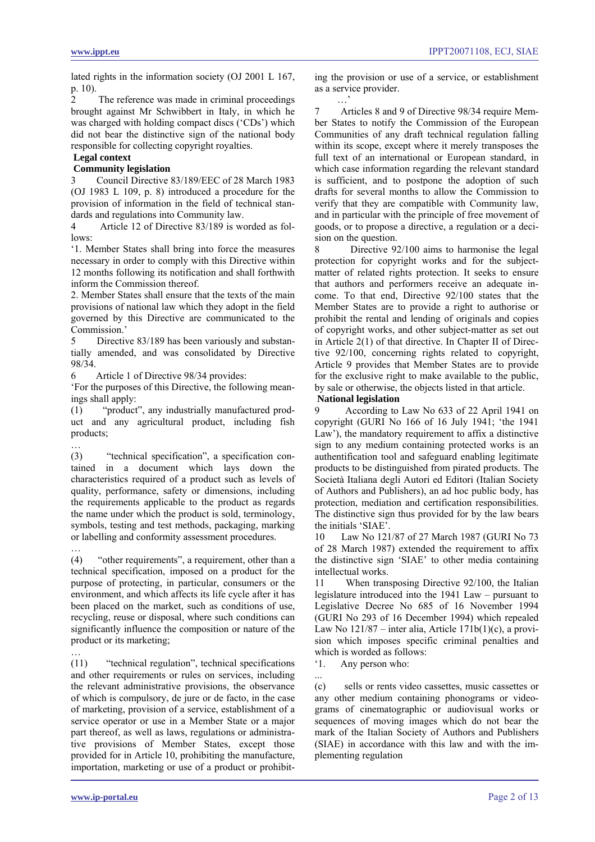lated rights in the information society (OJ 2001 L 167, p. 10).

2 The reference was made in criminal proceedings brought against Mr Schwibbert in Italy, in which he was charged with holding compact discs ('CDs') which did not bear the distinctive sign of the national body responsible for collecting copyright royalties.

# **Legal context**

…

…

# **Community legislation**

3 Council Directive 83/189/EEC of 28 March 1983 (OJ 1983 L 109, p. 8) introduced a procedure for the provision of information in the field of technical standards and regulations into Community law.

4 Article 12 of Directive 83/189 is worded as follows:

'1. Member States shall bring into force the measures necessary in order to comply with this Directive within 12 months following its notification and shall forthwith inform the Commission thereof.

2. Member States shall ensure that the texts of the main provisions of national law which they adopt in the field governed by this Directive are communicated to the Commission.'

5 Directive 83/189 has been variously and substantially amended, and was consolidated by Directive 98/34.

6 Article 1 of Directive 98/34 provides:

'For the purposes of this Directive, the following meanings shall apply:

(1) "product", any industrially manufactured product and any agricultural product, including fish products;

(3) "technical specification", a specification contained in a document which lays down the characteristics required of a product such as levels of quality, performance, safety or dimensions, including the requirements applicable to the product as regards the name under which the product is sold, terminology, symbols, testing and test methods, packaging, marking or labelling and conformity assessment procedures.

… (4) "other requirements", a requirement, other than a technical specification, imposed on a product for the purpose of protecting, in particular, consumers or the environment, and which affects its life cycle after it has been placed on the market, such as conditions of use, recycling, reuse or disposal, where such conditions can significantly influence the composition or nature of the product or its marketing;

(11) "technical regulation", technical specifications and other requirements or rules on services, including the relevant administrative provisions, the observance of which is compulsory, de jure or de facto, in the case of marketing, provision of a service, establishment of a service operator or use in a Member State or a major part thereof, as well as laws, regulations or administrative provisions of Member States, except those provided for in Article 10, prohibiting the manufacture, importation, marketing or use of a product or prohibiting the provision or use of a service, or establishment as a service provider.

…<sup></sup>

7 Articles 8 and 9 of Directive 98/34 require Member States to notify the Commission of the European Communities of any draft technical regulation falling within its scope, except where it merely transposes the full text of an international or European standard, in which case information regarding the relevant standard is sufficient, and to postpone the adoption of such drafts for several months to allow the Commission to verify that they are compatible with Community law, and in particular with the principle of free movement of goods, or to propose a directive, a regulation or a decision on the question.

8 Directive 92/100 aims to harmonise the legal protection for copyright works and for the subjectmatter of related rights protection. It seeks to ensure that authors and performers receive an adequate income. To that end, Directive 92/100 states that the Member States are to provide a right to authorise or prohibit the rental and lending of originals and copies of copyright works, and other subject-matter as set out in Article 2(1) of that directive. In Chapter II of Directive 92/100, concerning rights related to copyright, Article 9 provides that Member States are to provide for the exclusive right to make available to the public, by sale or otherwise, the objects listed in that article.

# **National legislation**

9 According to Law No 633 of 22 April 1941 on copyright (GURI No 166 of 16 July 1941; 'the 1941 Law'), the mandatory requirement to affix a distinctive sign to any medium containing protected works is an authentification tool and safeguard enabling legitimate products to be distinguished from pirated products. The Società Italiana degli Autori ed Editori (Italian Society of Authors and Publishers), an ad hoc public body, has protection, mediation and certification responsibilities. The distinctive sign thus provided for by the law bears the initials 'SIAE'.

10 Law No 121/87 of 27 March 1987 (GURI No 73 of 28 March 1987) extended the requirement to affix the distinctive sign 'SIAE' to other media containing intellectual works.

11 When transposing Directive 92/100, the Italian legislature introduced into the 1941 Law – pursuant to Legislative Decree No 685 of 16 November 1994 (GURI No 293 of 16 December 1994) which repealed Law No  $121/87$  – inter alia, Article 171b(1)(c), a provision which imposes specific criminal penalties and which is worded as follows:

'1. Any person who:

...

(c) sells or rents video cassettes, music cassettes or any other medium containing phonograms or videograms of cinematographic or audiovisual works or sequences of moving images which do not bear the mark of the Italian Society of Authors and Publishers (SIAE) in accordance with this law and with the implementing regulation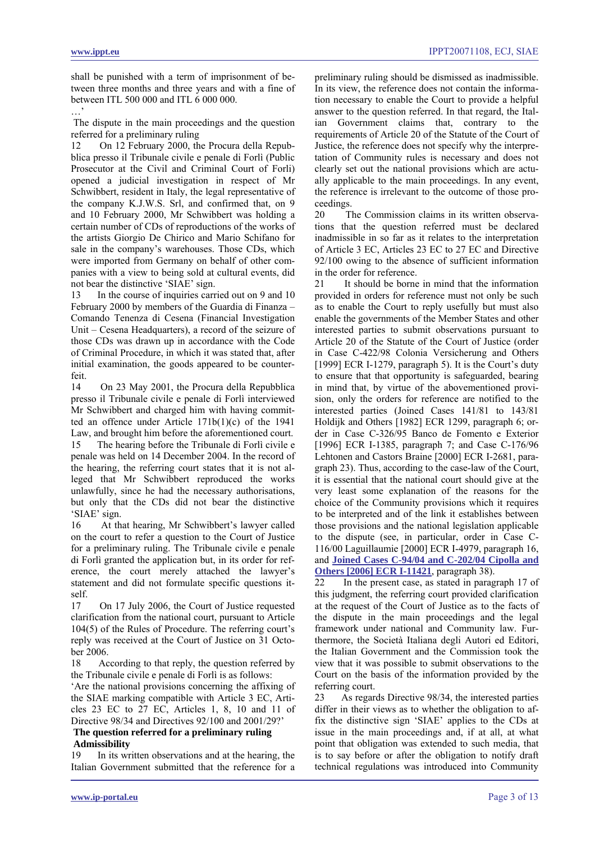**www.ippt.eu** IPPT20071108, ECJ, SIAE

shall be punished with a term of imprisonment of between three months and three years and with a fine of between ITL 500 000 and ITL 6 000 000.

…'

 The dispute in the main proceedings and the question referred for a preliminary ruling

12 On 12 February 2000, the Procura della Repubblica presso il Tribunale civile e penale di Forlì (Public Prosecutor at the Civil and Criminal Court of Forli) opened a judicial investigation in respect of Mr Schwibbert, resident in Italy, the legal representative of the company K.J.W.S. Srl, and confirmed that, on 9 and 10 February 2000, Mr Schwibbert was holding a certain number of CDs of reproductions of the works of the artists Giorgio De Chirico and Mario Schifano for sale in the company's warehouses. Those CDs, which were imported from Germany on behalf of other companies with a view to being sold at cultural events, did not bear the distinctive 'SIAE' sign.

13 In the course of inquiries carried out on 9 and 10 February 2000 by members of the Guardia di Finanza – Comando Tenenza di Cesena (Financial Investigation Unit – Cesena Headquarters), a record of the seizure of those CDs was drawn up in accordance with the Code of Criminal Procedure, in which it was stated that, after initial examination, the goods appeared to be counterfeit.

14 On 23 May 2001, the Procura della Repubblica presso il Tribunale civile e penale di Forlì interviewed Mr Schwibbert and charged him with having committed an offence under Article 171b(1)(c) of the 1941 Law, and brought him before the aforementioned court. 15 The hearing before the Tribunale di Forlì civile e penale was held on 14 December 2004. In the record of the hearing, the referring court states that it is not alleged that Mr Schwibbert reproduced the works unlawfully, since he had the necessary authorisations, but only that the CDs did not bear the distinctive 'SIAE' sign.

16 At that hearing, Mr Schwibbert's lawyer called on the court to refer a question to the Court of Justice for a preliminary ruling. The Tribunale civile e penale di Forlì granted the application but, in its order for reference, the court merely attached the lawyer's statement and did not formulate specific questions itself.

17 On 17 July 2006, the Court of Justice requested clarification from the national court, pursuant to Article 104(5) of the Rules of Procedure. The referring court's reply was received at the Court of Justice on 31 October 2006.

18 According to that reply, the question referred by the Tribunale civile e penale di Forlì is as follows:

'Are the national provisions concerning the affixing of the SIAE marking compatible with Article 3 EC, Articles 23 EC to 27 EC, Articles 1, 8, 10 and 11 of Directive 98/34 and Directives 92/100 and 2001/29?'

# **The question referred for a preliminary ruling Admissibility**

19 In its written observations and at the hearing, the Italian Government submitted that the reference for a preliminary ruling should be dismissed as inadmissible. In its view, the reference does not contain the information necessary to enable the Court to provide a helpful answer to the question referred. In that regard, the Italian Government claims that, contrary to the requirements of Article 20 of the Statute of the Court of Justice, the reference does not specify why the interpretation of Community rules is necessary and does not clearly set out the national provisions which are actually applicable to the main proceedings. In any event, the reference is irrelevant to the outcome of those proceedings.

20 The Commission claims in its written observations that the question referred must be declared inadmissible in so far as it relates to the interpretation of Article 3 EC, Articles 23 EC to 27 EC and Directive 92/100 owing to the absence of sufficient information in the order for reference.

21 It should be borne in mind that the information provided in orders for reference must not only be such as to enable the Court to reply usefully but must also enable the governments of the Member States and other interested parties to submit observations pursuant to Article 20 of the Statute of the Court of Justice (order in Case C-422/98 Colonia Versicherung and Others [1999] ECR I-1279, paragraph 5). It is the Court's duty to ensure that that opportunity is safeguarded, bearing in mind that, by virtue of the abovementioned provision, only the orders for reference are notified to the interested parties (Joined Cases 141/81 to 143/81 Holdijk and Others [1982] ECR 1299, paragraph 6; order in Case C-326/95 Banco de Fomento e Exterior [1996] ECR I-1385, paragraph 7; and Case C-176/96 Lehtonen and Castors Braine [2000] ECR I-2681, paragraph 23). Thus, according to the case-law of the Court, it is essential that the national court should give at the very least some explanation of the reasons for the choice of the Community provisions which it requires to be interpreted and of the link it establishes between those provisions and the national legislation applicable to the dispute (see, in particular, order in Case C-116/00 Laguillaumie [2000] ECR I-4979, paragraph 16, and **[Joined Cases C-94/04 and C-202/04 Cipolla and](http://www.ippt.eu/files/2006/IPPT20061205_ECJ_Cippola.pdf)  [Others \[2006\] ECR I-11421](http://www.ippt.eu/files/2006/IPPT20061205_ECJ_Cippola.pdf)**, paragraph 38).

22 In the present case, as stated in paragraph 17 of this judgment, the referring court provided clarification at the request of the Court of Justice as to the facts of the dispute in the main proceedings and the legal framework under national and Community law. Furthermore, the Società Italiana degli Autori ed Editori, the Italian Government and the Commission took the view that it was possible to submit observations to the Court on the basis of the information provided by the referring court.

23 As regards Directive 98/34, the interested parties differ in their views as to whether the obligation to affix the distinctive sign 'SIAE' applies to the CDs at issue in the main proceedings and, if at all, at what point that obligation was extended to such media, that is to say before or after the obligation to notify draft technical regulations was introduced into Community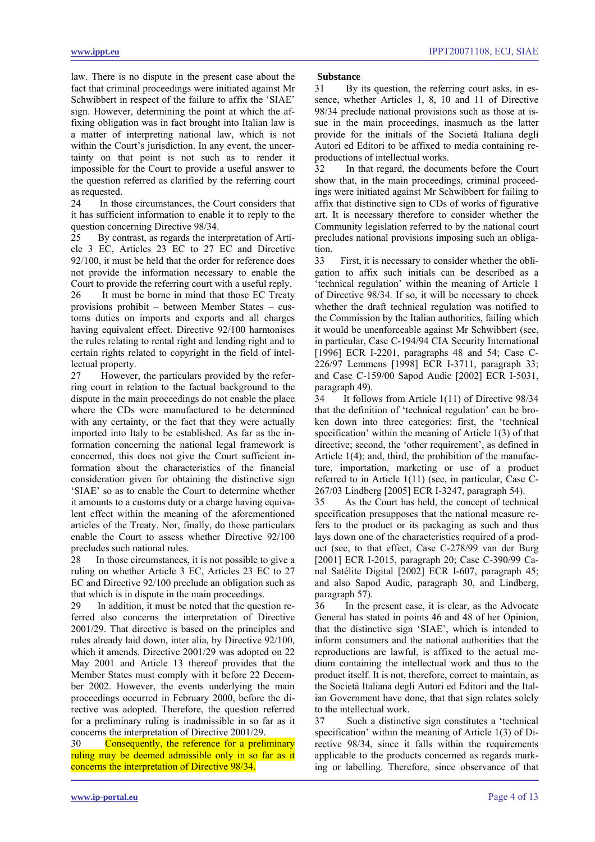<span id="page-3-0"></span>law. There is no dispute in the present case about the fact that criminal proceedings were initiated against Mr Schwibbert in respect of the failure to affix the 'SIAE' sign. However, determining the point at which the affixing obligation was in fact brought into Italian law is a matter of interpreting national law, which is not within the Court's jurisdiction. In any event, the uncertainty on that point is not such as to render it impossible for the Court to provide a useful answer to the question referred as clarified by the referring court as requested.

24 In those circumstances, the Court considers that it has sufficient information to enable it to reply to the question concerning Directive 98/34.

25 By contrast, as regards the interpretation of Article 3 EC, Articles 23 EC to 27 EC and Directive 92/100, it must be held that the order for reference does not provide the information necessary to enable the Court to provide the referring court with a useful reply.

26 It must be borne in mind that those EC Treaty provisions prohibit – between Member States – customs duties on imports and exports and all charges having equivalent effect. Directive 92/100 harmonises the rules relating to rental right and lending right and to certain rights related to copyright in the field of intellectual property.

27 However, the particulars provided by the referring court in relation to the factual background to the dispute in the main proceedings do not enable the place where the CDs were manufactured to be determined with any certainty, or the fact that they were actually imported into Italy to be established. As far as the information concerning the national legal framework is concerned, this does not give the Court sufficient information about the characteristics of the financial consideration given for obtaining the distinctive sign 'SIAE' so as to enable the Court to determine whether it amounts to a customs duty or a charge having equivalent effect within the meaning of the aforementioned articles of the Treaty. Nor, finally, do those particulars enable the Court to assess whether Directive 92/100 precludes such national rules.

28 In those circumstances, it is not possible to give a ruling on whether Article 3 EC, Articles 23 EC to 27 EC and Directive 92/100 preclude an obligation such as that which is in dispute in the main proceedings.

29 In addition, it must be noted that the question referred also concerns the interpretation of Directive 2001/29. That directive is based on the principles and rules already laid down, inter alia, by Directive 92/100, which it amends. Directive 2001/29 was adopted on 22 May 2001 and Article 13 thereof provides that the Member States must comply with it before 22 December 2002. However, the events underlying the main proceedings occurred in February 2000, before the directive was adopted. Therefore, the question referred for a preliminary ruling is inadmissible in so far as it concerns the interpretation of Directive 2001/29.

30 Consequently, the reference for a preliminary ruling may be deemed admissible only in so far as it concerns the interpretation of Directive 98/34.

#### **Substance**

31 By its question, the referring court asks, in essence, whether Articles 1, 8, 10 and 11 of Directive 98/34 preclude national provisions such as those at issue in the main proceedings, inasmuch as the latter provide for the initials of the Società Italiana degli Autori ed Editori to be affixed to media containing reproductions of intellectual works.

32 In that regard, the documents before the Court show that, in the main proceedings, criminal proceedings were initiated against Mr Schwibbert for failing to affix that distinctive sign to CDs of works of figurative art. It is necessary therefore to consider whether the Community legislation referred to by the national court precludes national provisions imposing such an obligation.

33 First, it is necessary to consider whether the obligation to affix such initials can be described as a 'technical regulation' within the meaning of Article 1 of Directive 98/34. If so, it will be necessary to check whether the draft technical regulation was notified to the Commission by the Italian authorities, failing which it would be unenforceable against Mr Schwibbert (see, in particular, Case C-194/94 CIA Security International [1996] ECR I-2201, paragraphs 48 and 54; Case C-226/97 Lemmens [1998] ECR I-3711, paragraph 33; and Case C-159/00 Sapod Audic [2002] ECR I-5031, paragraph 49).

34 It follows from Article 1(11) of Directive 98/34 that the definition of 'technical regulation' can be broken down into three categories: first, the 'technical specification' within the meaning of Article 1(3) of that directive; second, the 'other requirement', as defined in Article 1(4); and, third, the prohibition of the manufacture, importation, marketing or use of a product referred to in Article 1(11) (see, in particular, Case C-267/03 Lindberg [2005] ECR I-3247, paragraph 54).

35 As the Court has held, the concept of technical specification presupposes that the national measure refers to the product or its packaging as such and thus lays down one of the characteristics required of a product (see, to that effect, Case C-278/99 van der Burg [2001] ECR I-2015, paragraph 20; Case C-390/99 Canal Satélite Digital [2002] ECR I-607, paragraph 45; and also Sapod Audic, paragraph 30, and Lindberg, paragraph 57).

36 In the present case, it is clear, as the Advocate General has stated in points 46 and 48 of her Opinion, that the distinctive sign 'SIAE', which is intended to inform consumers and the national authorities that the reproductions are lawful, is affixed to the actual medium containing the intellectual work and thus to the product itself. It is not, therefore, correct to maintain, as the Società Italiana degli Autori ed Editori and the Italian Government have done, that that sign relates solely to the intellectual work.

37 Such a distinctive sign constitutes a 'technical specification' within the meaning of Article 1(3) of Directive 98/34, since it falls within the requirements applicable to the products concerned as regards marking or labelling. Therefore, since observance of that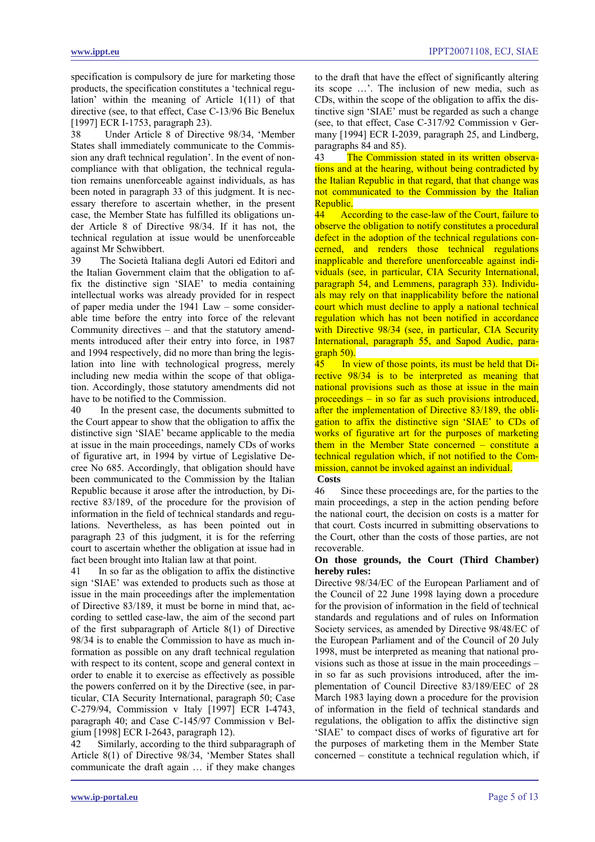<span id="page-4-0"></span>specification is compulsory de jure for marketing those products, the specification constitutes a 'technical regulation' within the meaning of Article 1(11) of that directive (see, to that effect, Case C-13/96 Bic Benelux [1997] ECR I-1753, paragraph 23).

38 Under Article 8 of Directive 98/34, 'Member States shall immediately communicate to the Commission any draft technical regulation'. In the event of noncompliance with that obligation, the technical regulation remains unenforceable against individuals, as has been noted in paragraph 33 of this judgment. It is necessary therefore to ascertain whether, in the present case, the Member State has fulfilled its obligations under Article 8 of Directive 98/34. If it has not, the technical regulation at issue would be unenforceable against Mr Schwibbert.

39 The Società Italiana degli Autori ed Editori and the Italian Government claim that the obligation to affix the distinctive sign 'SIAE' to media containing intellectual works was already provided for in respect of paper media under the 1941 Law – some considerable time before the entry into force of the relevant Community directives – and that the statutory amendments introduced after their entry into force, in 1987 and 1994 respectively, did no more than bring the legislation into line with technological progress, merely including new media within the scope of that obligation. Accordingly, those statutory amendments did not have to be notified to the Commission.

40 In the present case, the documents submitted to the Court appear to show that the obligation to affix the distinctive sign 'SIAE' became applicable to the media at issue in the main proceedings, namely CDs of works of figurative art, in 1994 by virtue of Legislative Decree No 685. Accordingly, that obligation should have been communicated to the Commission by the Italian Republic because it arose after the introduction, by Directive 83/189, of the procedure for the provision of information in the field of technical standards and regulations. Nevertheless, as has been pointed out in paragraph 23 of this judgment, it is for the referring court to ascertain whether the obligation at issue had in fact been brought into Italian law at that point.

41 In so far as the obligation to affix the distinctive sign 'SIAE' was extended to products such as those at issue in the main proceedings after the implementation of Directive 83/189, it must be borne in mind that, according to settled case-law, the aim of the second part of the first subparagraph of Article 8(1) of Directive 98/34 is to enable the Commission to have as much information as possible on any draft technical regulation with respect to its content, scope and general context in order to enable it to exercise as effectively as possible the powers conferred on it by the Directive (see, in particular, CIA Security International, paragraph 50; Case C-279/94, Commission v Italy [1997] ECR I-4743, paragraph 40; and Case C-145/97 Commission v Belgium [1998] ECR I-2643, paragraph 12).

42 Similarly, according to the third subparagraph of Article 8(1) of Directive 98/34, 'Member States shall communicate the draft again … if they make changes to the draft that have the effect of significantly altering its scope …'. The inclusion of new media, such as CDs, within the scope of the obligation to affix the distinctive sign 'SIAE' must be regarded as such a change (see, to that effect, Case C-317/92 Commission v Germany [1994] ECR I-2039, paragraph 25, and Lindberg, paragraphs 84 and 85).

43 The Commission stated in its written observations and at the hearing, without being contradicted by the Italian Republic in that regard, that that change was not communicated to the Commission by the Italian Republic.

44 According to the case-law of the Court, failure to observe the obligation to notify constitutes a procedural defect in the adoption of the technical regulations concerned, and renders those technical regulations inapplicable and therefore unenforceable against individuals (see, in particular, CIA Security International, paragraph 54, and Lemmens, paragraph 33). Individuals may rely on that inapplicability before the national court which must decline to apply a national technical regulation which has not been notified in accordance with Directive 98/34 (see, in particular, CIA Security International, paragraph 55, and Sapod Audic, paragraph 50).

45 In view of those points, its must be held that Directive 98/34 is to be interpreted as meaning that national provisions such as those at issue in the main proceedings – in so far as such provisions introduced, after the implementation of Directive 83/189, the obligation to affix the distinctive sign 'SIAE' to CDs of works of figurative art for the purposes of marketing them in the Member State concerned – constitute a technical regulation which, if not notified to the Commission, cannot be invoked against an individual.

# **Costs**

46 Since these proceedings are, for the parties to the main proceedings, a step in the action pending before the national court, the decision on costs is a matter for that court. Costs incurred in submitting observations to the Court, other than the costs of those parties, are not recoverable.

### **On those grounds, the Court (Third Chamber) hereby rules:**

Directive 98/34/EC of the European Parliament and of the Council of 22 June 1998 laying down a procedure for the provision of information in the field of technical standards and regulations and of rules on Information Society services, as amended by Directive 98/48/EC of the European Parliament and of the Council of 20 July 1998, must be interpreted as meaning that national provisions such as those at issue in the main proceedings – in so far as such provisions introduced, after the implementation of Council Directive 83/189/EEC of 28 March 1983 laying down a procedure for the provision of information in the field of technical standards and regulations, the obligation to affix the distinctive sign 'SIAE' to compact discs of works of figurative art for the purposes of marketing them in the Member State concerned – constitute a technical regulation which, if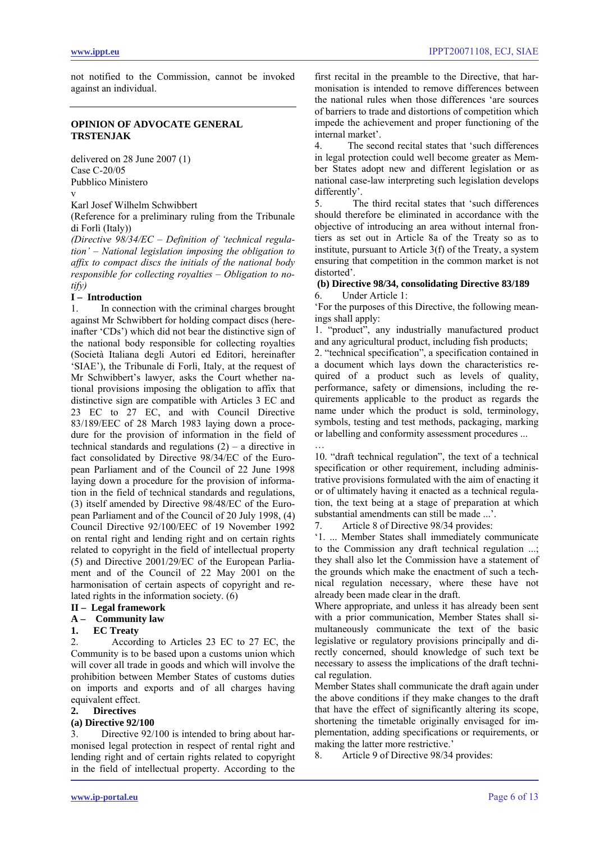<span id="page-5-0"></span>not notified to the Commission, cannot be invoked against an individual.

## **OPINION OF ADVOCATE GENERAL TRSTENJAK**

delivered on 28 June 2007 (1) Case C-20/05 Pubblico Ministero

v

Karl Josef Wilhelm Schwibbert

(Reference for a preliminary ruling from the Tribunale di Forlì (Italy))

*(Directive 98/34/EC – Definition of 'technical regulation' – National legislation imposing the obligation to affix to compact discs the initials of the national body responsible for collecting royalties – Obligation to notify)* 

#### **I – Introduction**

1. In connection with the criminal charges brought against Mr Schwibbert for holding compact discs (hereinafter 'CDs') which did not bear the distinctive sign of the national body responsible for collecting royalties (Società Italiana degli Autori ed Editori, hereinafter 'SIAE'), the Tribunale di Forlì, Italy, at the request of Mr Schwibbert's lawyer, asks the Court whether national provisions imposing the obligation to affix that distinctive sign are compatible with Articles 3 EC and 23 EC to 27 EC, and with Council Directive 83/189/EEC of 28 March 1983 laying down a procedure for the provision of information in the field of technical standards and regulations  $(2)$  – a directive in fact consolidated by Directive 98/34/EC of the European Parliament and of the Council of 22 June 1998 laying down a procedure for the provision of information in the field of technical standards and regulations, (3) itself amended by Directive 98/48/EC of the European Parliament and of the Council of 20 July 1998, (4) Council Directive 92/100/EEC of 19 November 1992 on rental right and lending right and on certain rights related to copyright in the field of intellectual property (5) and Directive 2001/29/EC of the European Parliament and of the Council of 22 May 2001 on the harmonisation of certain aspects of copyright and related rights in the information society. (6)

# **II – Legal framework**

**A – Community law** 

#### **1. EC Treaty**

2. According to Articles 23 EC to 27 EC, the Community is to be based upon a customs union which will cover all trade in goods and which will involve the prohibition between Member States of customs duties on imports and exports and of all charges having equivalent effect.

#### **2. Directives**

#### **(a) Directive 92/100**

3. Directive 92/100 is intended to bring about harmonised legal protection in respect of rental right and lending right and of certain rights related to copyright in the field of intellectual property. According to the first recital in the preamble to the Directive, that harmonisation is intended to remove differences between the national rules when those differences 'are sources of barriers to trade and distortions of competition which impede the achievement and proper functioning of the internal market'.

4. The second recital states that 'such differences in legal protection could well become greater as Member States adopt new and different legislation or as national case-law interpreting such legislation develops differently'.

5. The third recital states that 'such differences should therefore be eliminated in accordance with the objective of introducing an area without internal frontiers as set out in Article 8a of the Treaty so as to institute, pursuant to Article 3(f) of the Treaty, a system ensuring that competition in the common market is not distorted'.

#### **(b) Directive 98/34, consolidating Directive 83/189**  6. Under Article 1:

'For the purposes of this Directive, the following meanings shall apply:

1. "product", any industrially manufactured product and any agricultural product, including fish products;

2. "technical specification", a specification contained in a document which lays down the characteristics required of a product such as levels of quality, performance, safety or dimensions, including the requirements applicable to the product as regards the name under which the product is sold, terminology, symbols, testing and test methods, packaging, marking or labelling and conformity assessment procedures ... …

10. "draft technical regulation", the text of a technical specification or other requirement, including administrative provisions formulated with the aim of enacting it or of ultimately having it enacted as a technical regulation, the text being at a stage of preparation at which substantial amendments can still be made ...'.

7. Article 8 of Directive 98/34 provides:

'1. ... Member States shall immediately communicate to the Commission any draft technical regulation ...; they shall also let the Commission have a statement of the grounds which make the enactment of such a technical regulation necessary, where these have not already been made clear in the draft.

Where appropriate, and unless it has already been sent with a prior communication, Member States shall simultaneously communicate the text of the basic legislative or regulatory provisions principally and directly concerned, should knowledge of such text be necessary to assess the implications of the draft technical regulation.

Member States shall communicate the draft again under the above conditions if they make changes to the draft that have the effect of significantly altering its scope, shortening the timetable originally envisaged for implementation, adding specifications or requirements, or making the latter more restrictive.'

8. Article 9 of Directive 98/34 provides: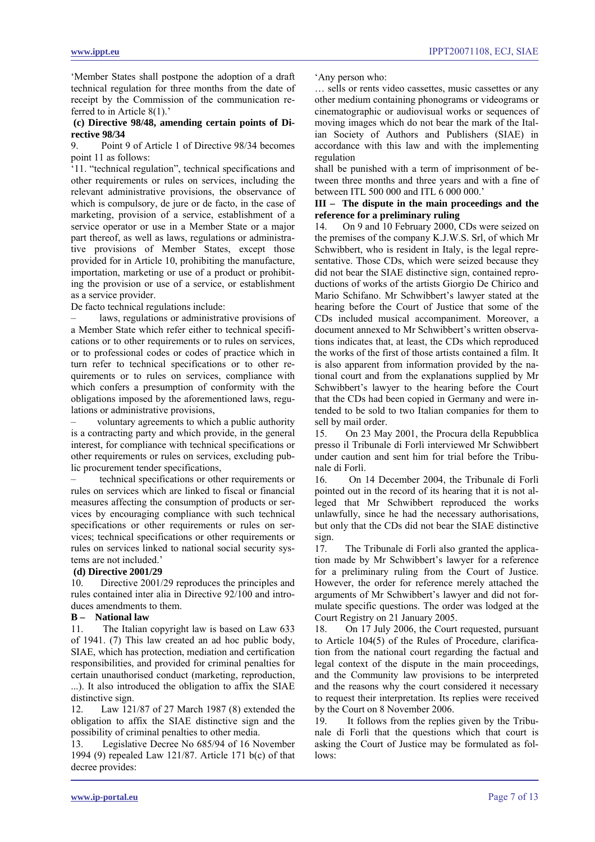'Member States shall postpone the adoption of a draft technical regulation for three months from the date of receipt by the Commission of the communication referred to in Article 8(1).'

## **(c) Directive 98/48, amending certain points of Directive 98/34**

9. Point 9 of Article 1 of Directive 98/34 becomes point 11 as follows:

'11. "technical regulation", technical specifications and other requirements or rules on services, including the relevant administrative provisions, the observance of which is compulsory, de jure or de facto, in the case of marketing, provision of a service, establishment of a service operator or use in a Member State or a major part thereof, as well as laws, regulations or administrative provisions of Member States, except those provided for in Article 10, prohibiting the manufacture, importation, marketing or use of a product or prohibiting the provision or use of a service, or establishment as a service provider.

De facto technical regulations include:

laws, regulations or administrative provisions of a Member State which refer either to technical specifications or to other requirements or to rules on services, or to professional codes or codes of practice which in turn refer to technical specifications or to other requirements or to rules on services, compliance with which confers a presumption of conformity with the obligations imposed by the aforementioned laws, regulations or administrative provisions,

voluntary agreements to which a public authority is a contracting party and which provide, in the general interest, for compliance with technical specifications or other requirements or rules on services, excluding public procurement tender specifications,

– technical specifications or other requirements or rules on services which are linked to fiscal or financial measures affecting the consumption of products or services by encouraging compliance with such technical specifications or other requirements or rules on services; technical specifications or other requirements or rules on services linked to national social security systems are not included.'

# **(d) Directive 2001/29**

10. Directive 2001/29 reproduces the principles and rules contained inter alia in Directive 92/100 and introduces amendments to them.

# **B – National law**

11. The Italian copyright law is based on Law 633 of 1941. (7) This law created an ad hoc public body, SIAE, which has protection, mediation and certification responsibilities, and provided for criminal penalties for certain unauthorised conduct (marketing, reproduction, ...). It also introduced the obligation to affix the SIAE distinctive sign.

12. Law 121/87 of 27 March 1987 (8) extended the obligation to affix the SIAE distinctive sign and the possibility of criminal penalties to other media.

13. Legislative Decree No 685/94 of 16 November 1994 (9) repealed Law 121/87. Article 171 b(c) of that decree provides:

'Any person who:

… sells or rents video cassettes, music cassettes or any other medium containing phonograms or videograms or cinematographic or audiovisual works or sequences of moving images which do not bear the mark of the Italian Society of Authors and Publishers (SIAE) in accordance with this law and with the implementing regulation

shall be punished with a term of imprisonment of between three months and three years and with a fine of between ITL 500 000 and ITL 6 000 000.'

## **III – The dispute in the main proceedings and the reference for a preliminary ruling**

14. On 9 and 10 February 2000, CDs were seized on the premises of the company K.J.W.S. Srl, of which Mr Schwibbert, who is resident in Italy, is the legal representative. Those CDs, which were seized because they did not bear the SIAE distinctive sign, contained reproductions of works of the artists Giorgio De Chirico and Mario Schifano. Mr Schwibbert's lawyer stated at the hearing before the Court of Justice that some of the CDs included musical accompaniment. Moreover, a document annexed to Mr Schwibbert's written observations indicates that, at least, the CDs which reproduced the works of the first of those artists contained a film. It is also apparent from information provided by the national court and from the explanations supplied by Mr Schwibbert's lawyer to the hearing before the Court that the CDs had been copied in Germany and were intended to be sold to two Italian companies for them to sell by mail order.

15. On 23 May 2001, the Procura della Repubblica presso il Tribunale di Forlì interviewed Mr Schwibbert under caution and sent him for trial before the Tribunale di Forlì.

16. On 14 December 2004, the Tribunale di Forlì pointed out in the record of its hearing that it is not alleged that Mr Schwibbert reproduced the works unlawfully, since he had the necessary authorisations, but only that the CDs did not bear the SIAE distinctive sign.

17. The Tribunale di Forlì also granted the application made by Mr Schwibbert's lawyer for a reference for a preliminary ruling from the Court of Justice. However, the order for reference merely attached the arguments of Mr Schwibbert's lawyer and did not formulate specific questions. The order was lodged at the Court Registry on 21 January 2005.

18. On 17 July 2006, the Court requested, pursuant to Article 104(5) of the Rules of Procedure, clarification from the national court regarding the factual and legal context of the dispute in the main proceedings, and the Community law provisions to be interpreted and the reasons why the court considered it necessary to request their interpretation. Its replies were received by the Court on 8 November 2006.

19. It follows from the replies given by the Tribunale di Forlì that the questions which that court is asking the Court of Justice may be formulated as follows: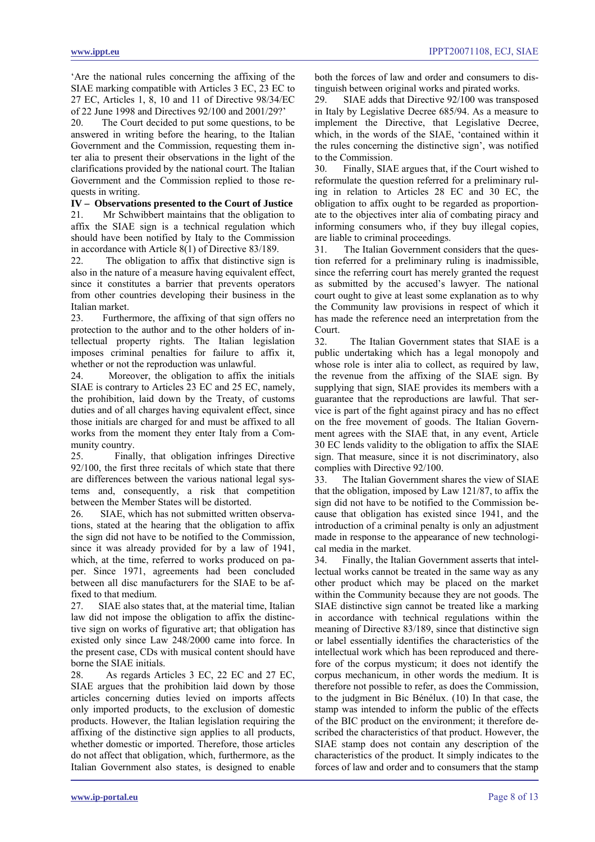'Are the national rules concerning the affixing of the SIAE marking compatible with Articles 3 EC, 23 EC to 27 EC, Articles 1, 8, 10 and 11 of Directive 98/34/EC of 22 June 1998 and Directives 92/100 and 2001/29?'

20. The Court decided to put some questions, to be answered in writing before the hearing, to the Italian Government and the Commission, requesting them inter alia to present their observations in the light of the clarifications provided by the national court. The Italian Government and the Commission replied to those requests in writing.

**IV – Observations presented to the Court of Justice** 

21. Mr Schwibbert maintains that the obligation to affix the SIAE sign is a technical regulation which should have been notified by Italy to the Commission in accordance with Article 8(1) of Directive 83/189.

22. The obligation to affix that distinctive sign is also in the nature of a measure having equivalent effect, since it constitutes a barrier that prevents operators from other countries developing their business in the Italian market.

23. Furthermore, the affixing of that sign offers no protection to the author and to the other holders of intellectual property rights. The Italian legislation imposes criminal penalties for failure to affix it, whether or not the reproduction was unlawful.

24. Moreover, the obligation to affix the initials SIAE is contrary to Articles 23 EC and 25 EC, namely, the prohibition, laid down by the Treaty, of customs duties and of all charges having equivalent effect, since those initials are charged for and must be affixed to all works from the moment they enter Italy from a Community country.

25. Finally, that obligation infringes Directive 92/100, the first three recitals of which state that there are differences between the various national legal systems and, consequently, a risk that competition between the Member States will be distorted.

26. SIAE, which has not submitted written observations, stated at the hearing that the obligation to affix the sign did not have to be notified to the Commission, since it was already provided for by a law of 1941, which, at the time, referred to works produced on paper. Since 1971, agreements had been concluded between all disc manufacturers for the SIAE to be affixed to that medium.

27. SIAE also states that, at the material time, Italian law did not impose the obligation to affix the distinctive sign on works of figurative art; that obligation has existed only since Law 248/2000 came into force. In the present case, CDs with musical content should have borne the SIAE initials.

28. As regards Articles 3 EC, 22 EC and 27 EC, SIAE argues that the prohibition laid down by those articles concerning duties levied on imports affects only imported products, to the exclusion of domestic products. However, the Italian legislation requiring the affixing of the distinctive sign applies to all products, whether domestic or imported. Therefore, those articles do not affect that obligation, which, furthermore, as the Italian Government also states, is designed to enable both the forces of law and order and consumers to distinguish between original works and pirated works.

29. SIAE adds that Directive 92/100 was transposed in Italy by Legislative Decree 685/94. As a measure to implement the Directive, that Legislative Decree, which, in the words of the SIAE, 'contained within it the rules concerning the distinctive sign', was notified to the Commission.

30. Finally, SIAE argues that, if the Court wished to reformulate the question referred for a preliminary ruling in relation to Articles 28 EC and 30 EC, the obligation to affix ought to be regarded as proportionate to the objectives inter alia of combating piracy and informing consumers who, if they buy illegal copies, are liable to criminal proceedings.

31. The Italian Government considers that the question referred for a preliminary ruling is inadmissible, since the referring court has merely granted the request as submitted by the accused's lawyer. The national court ought to give at least some explanation as to why the Community law provisions in respect of which it has made the reference need an interpretation from the Court.

32. The Italian Government states that SIAE is a public undertaking which has a legal monopoly and whose role is inter alia to collect, as required by law, the revenue from the affixing of the SIAE sign. By supplying that sign, SIAE provides its members with a guarantee that the reproductions are lawful. That service is part of the fight against piracy and has no effect on the free movement of goods. The Italian Government agrees with the SIAE that, in any event, Article 30 EC lends validity to the obligation to affix the SIAE sign. That measure, since it is not discriminatory, also complies with Directive 92/100.

33. The Italian Government shares the view of SIAE that the obligation, imposed by Law 121/87, to affix the sign did not have to be notified to the Commission because that obligation has existed since 1941, and the introduction of a criminal penalty is only an adjustment made in response to the appearance of new technological media in the market.

34. Finally, the Italian Government asserts that intellectual works cannot be treated in the same way as any other product which may be placed on the market within the Community because they are not goods. The SIAE distinctive sign cannot be treated like a marking in accordance with technical regulations within the meaning of Directive 83/189, since that distinctive sign or label essentially identifies the characteristics of the intellectual work which has been reproduced and therefore of the corpus mysticum; it does not identify the corpus mechanicum, in other words the medium. It is therefore not possible to refer, as does the Commission, to the judgment in Bic Bénélux. (10) In that case, the stamp was intended to inform the public of the effects of the BIC product on the environment; it therefore described the characteristics of that product. However, the SIAE stamp does not contain any description of the characteristics of the product. It simply indicates to the forces of law and order and to consumers that the stamp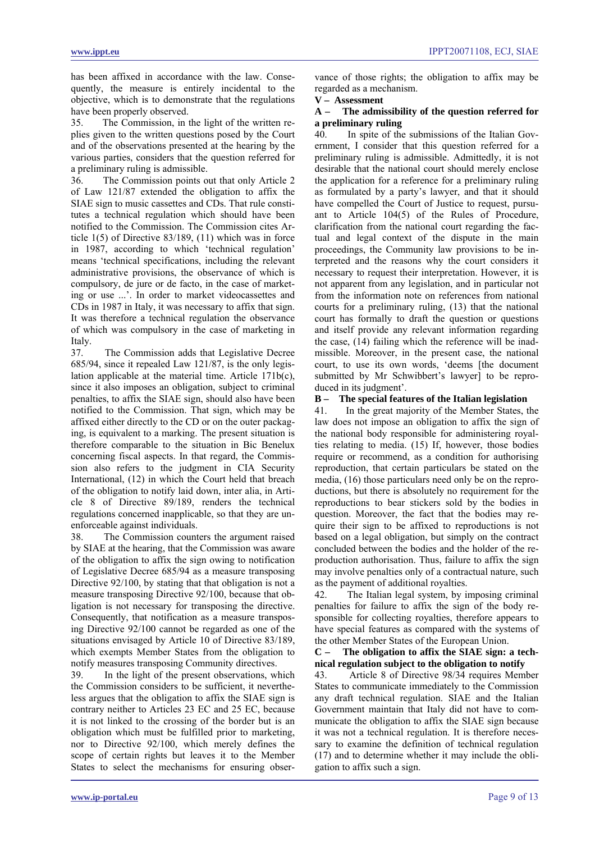has been affixed in accordance with the law. Consequently, the measure is entirely incidental to the objective, which is to demonstrate that the regulations have been properly observed.

35. The Commission, in the light of the written replies given to the written questions posed by the Court and of the observations presented at the hearing by the various parties, considers that the question referred for a preliminary ruling is admissible.

36. The Commission points out that only Article 2 of Law 121/87 extended the obligation to affix the SIAE sign to music cassettes and CDs. That rule constitutes a technical regulation which should have been notified to the Commission. The Commission cites Article 1(5) of Directive 83/189, (11) which was in force in 1987, according to which 'technical regulation' means 'technical specifications, including the relevant administrative provisions, the observance of which is compulsory, de jure or de facto, in the case of marketing or use ...'. In order to market videocassettes and CDs in 1987 in Italy, it was necessary to affix that sign. It was therefore a technical regulation the observance of which was compulsory in the case of marketing in Italy.

37. The Commission adds that Legislative Decree 685/94, since it repealed Law 121/87, is the only legislation applicable at the material time. Article 171b(c), since it also imposes an obligation, subject to criminal penalties, to affix the SIAE sign, should also have been notified to the Commission. That sign, which may be affixed either directly to the CD or on the outer packaging, is equivalent to a marking. The present situation is therefore comparable to the situation in Bic Benelux concerning fiscal aspects. In that regard, the Commission also refers to the judgment in CIA Security International, (12) in which the Court held that breach of the obligation to notify laid down, inter alia, in Article 8 of Directive 89/189, renders the technical regulations concerned inapplicable, so that they are unenforceable against individuals.

38. The Commission counters the argument raised by SIAE at the hearing, that the Commission was aware of the obligation to affix the sign owing to notification of Legislative Decree 685/94 as a measure transposing Directive 92/100, by stating that that obligation is not a measure transposing Directive 92/100, because that obligation is not necessary for transposing the directive. Consequently, that notification as a measure transposing Directive 92/100 cannot be regarded as one of the situations envisaged by Article 10 of Directive 83/189, which exempts Member States from the obligation to notify measures transposing Community directives.

39. In the light of the present observations, which the Commission considers to be sufficient, it nevertheless argues that the obligation to affix the SIAE sign is contrary neither to Articles 23 EC and 25 EC, because it is not linked to the crossing of the border but is an obligation which must be fulfilled prior to marketing, nor to Directive 92/100, which merely defines the scope of certain rights but leaves it to the Member States to select the mechanisms for ensuring obser-

vance of those rights; the obligation to affix may be regarded as a mechanism.

# **V – Assessment**

# **A – The admissibility of the question referred for a preliminary ruling**

40. In spite of the submissions of the Italian Government, I consider that this question referred for a preliminary ruling is admissible. Admittedly, it is not desirable that the national court should merely enclose the application for a reference for a preliminary ruling as formulated by a party's lawyer, and that it should have compelled the Court of Justice to request, pursuant to Article 104(5) of the Rules of Procedure, clarification from the national court regarding the factual and legal context of the dispute in the main proceedings, the Community law provisions to be interpreted and the reasons why the court considers it necessary to request their interpretation. However, it is not apparent from any legislation, and in particular not from the information note on references from national courts for a preliminary ruling, (13) that the national court has formally to draft the question or questions and itself provide any relevant information regarding the case, (14) failing which the reference will be inadmissible. Moreover, in the present case, the national court, to use its own words, 'deems [the document submitted by Mr Schwibbert's lawyer] to be reproduced in its judgment'.

# **B – The special features of the Italian legislation**

41. In the great majority of the Member States, the law does not impose an obligation to affix the sign of the national body responsible for administering royalties relating to media. (15) If, however, those bodies require or recommend, as a condition for authorising reproduction, that certain particulars be stated on the media, (16) those particulars need only be on the reproductions, but there is absolutely no requirement for the reproductions to bear stickers sold by the bodies in question. Moreover, the fact that the bodies may require their sign to be affixed to reproductions is not based on a legal obligation, but simply on the contract concluded between the bodies and the holder of the reproduction authorisation. Thus, failure to affix the sign may involve penalties only of a contractual nature, such as the payment of additional royalties.

42. The Italian legal system, by imposing criminal penalties for failure to affix the sign of the body responsible for collecting royalties, therefore appears to have special features as compared with the systems of the other Member States of the European Union.

**C – The obligation to affix the SIAE sign: a technical regulation subject to the obligation to notify** 

43. Article 8 of Directive 98/34 requires Member States to communicate immediately to the Commission any draft technical regulation. SIAE and the Italian Government maintain that Italy did not have to communicate the obligation to affix the SIAE sign because it was not a technical regulation. It is therefore necessary to examine the definition of technical regulation (17) and to determine whether it may include the obligation to affix such a sign.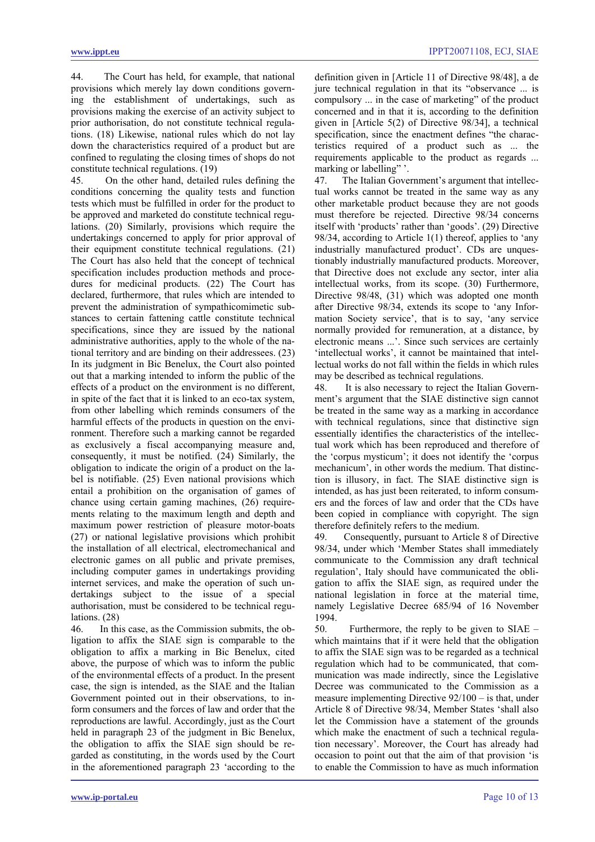44. The Court has held, for example, that national provisions which merely lay down conditions governing the establishment of undertakings, such as provisions making the exercise of an activity subject to prior authorisation, do not constitute technical regulations. (18) Likewise, national rules which do not lay down the characteristics required of a product but are confined to regulating the closing times of shops do not constitute technical regulations. (19)

45. On the other hand, detailed rules defining the conditions concerning the quality tests and function tests which must be fulfilled in order for the product to be approved and marketed do constitute technical regulations. (20) Similarly, provisions which require the undertakings concerned to apply for prior approval of their equipment constitute technical regulations. (21) The Court has also held that the concept of technical specification includes production methods and procedures for medicinal products. (22) The Court has declared, furthermore, that rules which are intended to prevent the administration of sympathicomimetic substances to certain fattening cattle constitute technical specifications, since they are issued by the national administrative authorities, apply to the whole of the national territory and are binding on their addressees. (23) In its judgment in Bic Benelux, the Court also pointed out that a marking intended to inform the public of the effects of a product on the environment is no different, in spite of the fact that it is linked to an eco-tax system, from other labelling which reminds consumers of the harmful effects of the products in question on the environment. Therefore such a marking cannot be regarded as exclusively a fiscal accompanying measure and, consequently, it must be notified. (24) Similarly, the obligation to indicate the origin of a product on the label is notifiable. (25) Even national provisions which entail a prohibition on the organisation of games of chance using certain gaming machines, (26) requirements relating to the maximum length and depth and maximum power restriction of pleasure motor-boats (27) or national legislative provisions which prohibit the installation of all electrical, electromechanical and electronic games on all public and private premises, including computer games in undertakings providing internet services, and make the operation of such undertakings subject to the issue of a special authorisation, must be considered to be technical regulations. (28)

46. In this case, as the Commission submits, the obligation to affix the SIAE sign is comparable to the obligation to affix a marking in Bic Benelux, cited above, the purpose of which was to inform the public of the environmental effects of a product. In the present case, the sign is intended, as the SIAE and the Italian Government pointed out in their observations, to inform consumers and the forces of law and order that the reproductions are lawful. Accordingly, just as the Court held in paragraph 23 of the judgment in Bic Benelux, the obligation to affix the SIAE sign should be regarded as constituting, in the words used by the Court in the aforementioned paragraph 23 'according to the

definition given in [Article 11 of Directive 98/48], a de jure technical regulation in that its "observance ... is compulsory ... in the case of marketing" of the product concerned and in that it is, according to the definition given in [Article 5(2) of Directive 98/34], a technical specification, since the enactment defines "the characteristics required of a product such as ... the requirements applicable to the product as regards ... marking or labelling"".

47. The Italian Government's argument that intellectual works cannot be treated in the same way as any other marketable product because they are not goods must therefore be rejected. Directive 98/34 concerns itself with 'products' rather than 'goods'. (29) Directive 98/34, according to Article 1(1) thereof, applies to 'any industrially manufactured product'. CDs are unquestionably industrially manufactured products. Moreover, that Directive does not exclude any sector, inter alia intellectual works, from its scope. (30) Furthermore, Directive 98/48, (31) which was adopted one month after Directive 98/34, extends its scope to 'any Information Society service', that is to say, 'any service normally provided for remuneration, at a distance, by electronic means ...'. Since such services are certainly 'intellectual works', it cannot be maintained that intellectual works do not fall within the fields in which rules may be described as technical regulations.

48. It is also necessary to reject the Italian Government's argument that the SIAE distinctive sign cannot be treated in the same way as a marking in accordance with technical regulations, since that distinctive sign essentially identifies the characteristics of the intellectual work which has been reproduced and therefore of the 'corpus mysticum'; it does not identify the 'corpus mechanicum', in other words the medium. That distinction is illusory, in fact. The SIAE distinctive sign is intended, as has just been reiterated, to inform consumers and the forces of law and order that the CDs have been copied in compliance with copyright. The sign therefore definitely refers to the medium.

49. Consequently, pursuant to Article 8 of Directive 98/34, under which 'Member States shall immediately communicate to the Commission any draft technical regulation', Italy should have communicated the obligation to affix the SIAE sign, as required under the national legislation in force at the material time, namely Legislative Decree 685/94 of 16 November 1994.

50. Furthermore, the reply to be given to SIAE – which maintains that if it were held that the obligation to affix the SIAE sign was to be regarded as a technical regulation which had to be communicated, that communication was made indirectly, since the Legislative Decree was communicated to the Commission as a measure implementing Directive 92/100 – is that, under Article 8 of Directive 98/34, Member States 'shall also let the Commission have a statement of the grounds which make the enactment of such a technical regulation necessary'. Moreover, the Court has already had occasion to point out that the aim of that provision 'is to enable the Commission to have as much information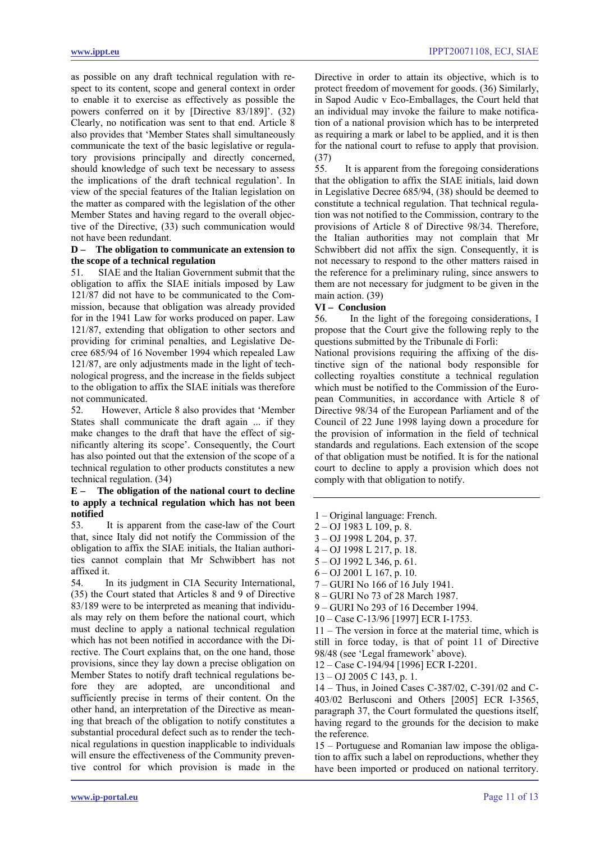as possible on any draft technical regulation with respect to its content, scope and general context in order to enable it to exercise as effectively as possible the powers conferred on it by [Directive 83/189]'. (32) Clearly, no notification was sent to that end. Article 8 also provides that 'Member States shall simultaneously communicate the text of the basic legislative or regulatory provisions principally and directly concerned, should knowledge of such text be necessary to assess the implications of the draft technical regulation'. In view of the special features of the Italian legislation on the matter as compared with the legislation of the other Member States and having regard to the overall objective of the Directive, (33) such communication would not have been redundant.

# **D – The obligation to communicate an extension to the scope of a technical regulation**

51. SIAE and the Italian Government submit that the obligation to affix the SIAE initials imposed by Law 121/87 did not have to be communicated to the Commission, because that obligation was already provided for in the 1941 Law for works produced on paper. Law 121/87, extending that obligation to other sectors and providing for criminal penalties, and Legislative Decree 685/94 of 16 November 1994 which repealed Law 121/87, are only adjustments made in the light of technological progress, and the increase in the fields subject to the obligation to affix the SIAE initials was therefore not communicated.

52. However, Article 8 also provides that 'Member States shall communicate the draft again ... if they make changes to the draft that have the effect of significantly altering its scope'. Consequently, the Court has also pointed out that the extension of the scope of a technical regulation to other products constitutes a new technical regulation. (34)

#### **E – The obligation of the national court to decline to apply a technical regulation which has not been notified**

53. It is apparent from the case-law of the Court that, since Italy did not notify the Commission of the obligation to affix the SIAE initials, the Italian authorities cannot complain that Mr Schwibbert has not affixed it.

54. In its judgment in CIA Security International, (35) the Court stated that Articles 8 and 9 of Directive 83/189 were to be interpreted as meaning that individuals may rely on them before the national court, which must decline to apply a national technical regulation which has not been notified in accordance with the Directive. The Court explains that, on the one hand, those provisions, since they lay down a precise obligation on Member States to notify draft technical regulations before they are adopted, are unconditional and sufficiently precise in terms of their content. On the other hand, an interpretation of the Directive as meaning that breach of the obligation to notify constitutes a substantial procedural defect such as to render the technical regulations in question inapplicable to individuals will ensure the effectiveness of the Community preventive control for which provision is made in the Directive in order to attain its objective, which is to protect freedom of movement for goods. (36) Similarly, in Sapod Audic v Eco-Emballages, the Court held that an individual may invoke the failure to make notification of a national provision which has to be interpreted as requiring a mark or label to be applied, and it is then for the national court to refuse to apply that provision. (37)

55. It is apparent from the foregoing considerations that the obligation to affix the SIAE initials, laid down in Legislative Decree 685/94, (38) should be deemed to constitute a technical regulation. That technical regulation was not notified to the Commission, contrary to the provisions of Article 8 of Directive 98/34. Therefore, the Italian authorities may not complain that Mr Schwibbert did not affix the sign. Consequently, it is not necessary to respond to the other matters raised in the reference for a preliminary ruling, since answers to them are not necessary for judgment to be given in the main action. (39)

#### **VI – Conclusion**

56. In the light of the foregoing considerations, I propose that the Court give the following reply to the questions submitted by the Tribunale di Forlì:

National provisions requiring the affixing of the distinctive sign of the national body responsible for collecting royalties constitute a technical regulation which must be notified to the Commission of the European Communities, in accordance with Article 8 of Directive 98/34 of the European Parliament and of the Council of 22 June 1998 laying down a procedure for the provision of information in the field of technical standards and regulations. Each extension of the scope of that obligation must be notified. It is for the national court to decline to apply a provision which does not comply with that obligation to notify.

- 1 Original language: French.
- 2 OJ 1983 L 109, p. 8.
- 3 OJ 1998 L 204, p. 37.
- 4 OJ 1998 L 217, p. 18.
- 5 OJ 1992 L 346, p. 61.
- 6 OJ 2001 L 167, p. 10.
- 7 GURI No 166 of 16 July 1941.
- 8 GURI No 73 of 28 March 1987.
- 9 GURI No 293 of 16 December 1994.
- 10 Case C-13/96 [1997] ECR I-1753.

11 – The version in force at the material time, which is still in force today, is that of point 11 of Directive 98/48 (see 'Legal framework' above).

12 – Case C-194/94 [1996] ECR I-2201.

13 – OJ 2005 C 143, p. 1.

14 – Thus, in Joined Cases C-387/02, C-391/02 and C-403/02 Berlusconi and Others [2005] ECR I-3565, paragraph 37, the Court formulated the questions itself, having regard to the grounds for the decision to make the reference.

15 – Portuguese and Romanian law impose the obligation to affix such a label on reproductions, whether they have been imported or produced on national territory.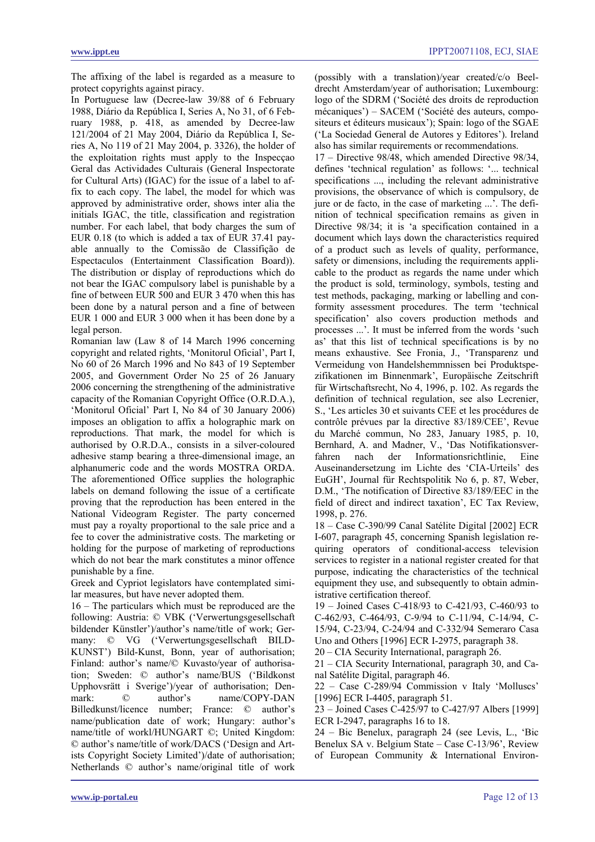The affixing of the label is regarded as a measure to protect copyrights against piracy.

In Portuguese law (Decree-law 39/88 of 6 February 1988, Diário da República I, Series A, No 31, of 6 February 1988, p. 418, as amended by Decree-law 121/2004 of 21 May 2004, Diário da República I, Series A, No 119 of 21 May 2004, p. 3326), the holder of the exploitation rights must apply to the Inspecçao Geral das Actividades Culturais (General Inspectorate for Cultural Arts) (IGAC) for the issue of a label to affix to each copy. The label, the model for which was approved by administrative order, shows inter alia the initials IGAC, the title, classification and registration number. For each label, that body charges the sum of EUR 0.18 (to which is added a tax of EUR 37.41 payable annually to the Comissão de Classifição de Espectaculos (Entertainment Classification Board)). The distribution or display of reproductions which do not bear the IGAC compulsory label is punishable by a fine of between EUR 500 and EUR 3 470 when this has been done by a natural person and a fine of between EUR 1 000 and EUR 3 000 when it has been done by a legal person.

Romanian law (Law 8 of 14 March 1996 concerning copyright and related rights, 'Monitorul Oficial', Part I, No 60 of 26 March 1996 and No 843 of 19 September 2005, and Government Order No 25 of 26 January 2006 concerning the strengthening of the administrative capacity of the Romanian Copyright Office (O.R.D.A.), 'Monitorul Oficial' Part I, No 84 of 30 January 2006) imposes an obligation to affix a holographic mark on reproductions. That mark, the model for which is authorised by O.R.D.A., consists in a silver-coloured adhesive stamp bearing a three-dimensional image, an alphanumeric code and the words MOSTRA ORDA. The aforementioned Office supplies the holographic labels on demand following the issue of a certificate proving that the reproduction has been entered in the National Videogram Register. The party concerned must pay a royalty proportional to the sale price and a fee to cover the administrative costs. The marketing or holding for the purpose of marketing of reproductions which do not bear the mark constitutes a minor offence punishable by a fine.

Greek and Cypriot legislators have contemplated similar measures, but have never adopted them.

16 – The particulars which must be reproduced are the following: Austria: © VBK ('Verwertungsgesellschaft bildender Künstler')/author's name/title of work; Germany: © VG ('Verwertungsgesellschaft BILD-KUNST') Bild-Kunst, Bonn, year of authorisation; Finland: author's name/© Kuvasto/year of authorisation; Sweden: © author's name/BUS ('Bildkonst Upphovsrätt i Sverige')/year of authorisation; Denmark:  $@$  author's name/COPY-DAN Billedkunst/licence number; France: © author's name/publication date of work; Hungary: author's name/title of workl/HUNGART ©; United Kingdom: © author's name/title of work/DACS ('Design and Artists Copyright Society Limited')/date of authorisation; Netherlands © author's name/original title of work (possibly with a translation)/year created/c/o Beeldrecht Amsterdam/year of authorisation; Luxembourg: logo of the SDRM ('Société des droits de reproduction mécaniques') – SACEM ('Société des auteurs, compositeurs et éditeurs musicaux'); Spain: logo of the SGAE ('La Sociedad General de Autores y Editores'). Ireland also has similar requirements or recommendations.

17 – Directive 98/48, which amended Directive 98/34, defines 'technical regulation' as follows: '... technical specifications ..., including the relevant administrative provisions, the observance of which is compulsory, de jure or de facto, in the case of marketing ...'. The definition of technical specification remains as given in Directive 98/34; it is 'a specification contained in a document which lays down the characteristics required of a product such as levels of quality, performance, safety or dimensions, including the requirements applicable to the product as regards the name under which the product is sold, terminology, symbols, testing and test methods, packaging, marking or labelling and conformity assessment procedures. The term 'technical specification' also covers production methods and processes ...'. It must be inferred from the words 'such as' that this list of technical specifications is by no means exhaustive. See Fronia, J., 'Transparenz und Vermeidung von Handelshemmnissen bei Produktspezifikationen im Binnenmark', Europäische Zeitschrift für Wirtschaftsrecht, No 4, 1996, p. 102. As regards the definition of technical regulation, see also Lecrenier, S., 'Les articles 30 et suivants CEE et les procédures de contrôle prévues par la directive 83/189/CEE', Revue du Marché commun, No 283, January 1985, p. 10, Bernhard, A. and Madner, V., 'Das Notifikationsverfahren nach der Informationsrichtlinie, Eine Auseinandersetzung im Lichte des 'CIA-Urteils' des EuGH', Journal für Rechtspolitik No 6, p. 87, Weber, D.M., 'The notification of Directive 83/189/EEC in the field of direct and indirect taxation', EC Tax Review, 1998, p. 276.

18 – Case C-390/99 Canal Satélite Digital [2002] ECR I-607, paragraph 45, concerning Spanish legislation requiring operators of conditional-access television services to register in a national register created for that purpose, indicating the characteristics of the technical equipment they use, and subsequently to obtain administrative certification thereof.

19 – Joined Cases C-418/93 to C-421/93, C-460/93 to C-462/93, C-464/93, C-9/94 to C-11/94, C-14/94, C-15/94, C-23/94, C-24/94 and C-332/94 Semeraro Casa Uno and Others [1996] ECR I-2975, paragraph 38.

20 – CIA Security International, paragraph 26.

21 – CIA Security International, paragraph 30, and Canal Satélite Digital, paragraph 46.

22 – Case C-289/94 Commission v Italy 'Molluscs' [1996] ECR I-4405, paragraph 51.

23 – Joined Cases C-425/97 to C-427/97 Albers [1999] ECR I-2947, paragraphs 16 to 18.

24 – Bic Benelux, paragraph 24 (see Levis, L., 'Bic Benelux SA v. Belgium State – Case C-13/96', Review of European Community & International Environ-